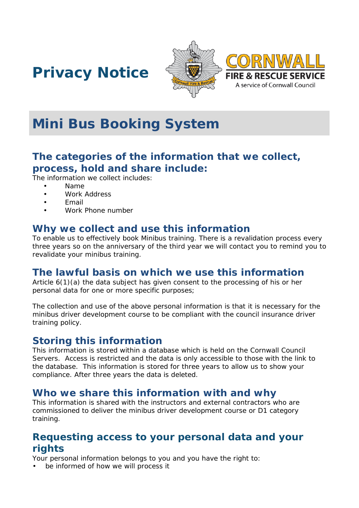





# **Mini Bus Booking System**

## **The categories of the information that we collect, process, hold and share include:**

The information we collect includes:

- Name
- Work Address
- Email
- Work Phone number

#### **Why we collect and use this information**

To enable us to effectively book Minibus training. There is a revalidation process every three years so on the anniversary of the third year we will contact you to remind you to revalidate your minibus training.

### **The lawful basis on which we use this information**

Article 6(1)(a) the data subject has given consent to the processing of his or her personal data for one or more specific purposes;

The collection and use of the above personal information is that it is necessary for the minibus driver development course to be compliant with the council insurance driver training policy.

### **Storing this information**

This information is stored within a database which is held on the Cornwall Council Servers. Access is restricted and the data is only accessible to those with the link to the database. This information is stored for three years to allow us to show your compliance. After three years the data is deleted.

#### **Who we share this information with and why**

This information is shared with the instructors and external contractors who are commissioned to deliver the minibus driver development course or D1 category training.

## **Requesting access to your personal data and your rights**

Your personal information belongs to you and you have the right to:

be informed of how we will process it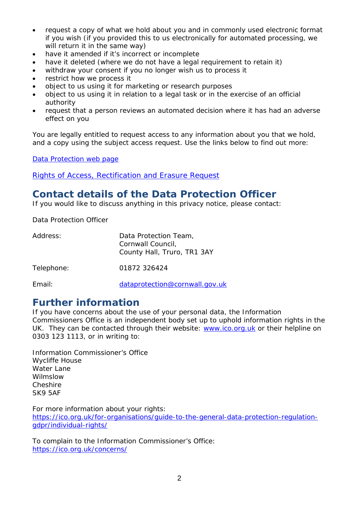- request a copy of what we hold about you and in commonly used electronic format if you wish (if you provided this to us electronically for automated processing, we will return it in the same way)
- have it amended if it's incorrect or incomplete
- have it deleted (where we do not have a legal requirement to retain it)
- withdraw your consent if you no longer wish us to process it
- restrict how we process it
- object to us using it for marketing or research purposes
- object to us using it in relation to a legal task or in the exercise of an official authority
- request that a person reviews an automated decision where it has had an adverse effect on you

You are legally entitled to request access to any information about you that we hold, and a copy using the subject access request. Use the links below to find out more:

[Data Protection web page](http://www.cornwall.gov.uk/council-and-democracy/data-protection-and-freedom-of-information/data-protection)

[Rights of Access, Rectification and Erasure Request](https://www.cornwall.gov.uk/media/33315555/form-2018-rare-form-blank.pdf)

## **Contact details of the Data Protection Officer**

If you would like to discuss anything in this privacy notice, please contact:

Data Protection Officer

| Address:   | Data Protection Team,<br>Cornwall Council,<br>County Hall, Truro, TR1 3AY |
|------------|---------------------------------------------------------------------------|
| Telephone: | 01872 326424                                                              |
| Email:     | dataprotection@cornwall.gov.uk                                            |

### **Further information**

If you have concerns about the use of your personal data, the Information Commissioners Office is an independent body set up to uphold information rights in the UK. They can be contacted through their website: [www.ico.org.uk](http://www.ico.org.uk/) or their helpline on 0303 123 1113, or in writing to:

Information Commissioner's Office Wycliffe House Water Lane Wilmslow Cheshire SK9 5AF

For more information about your rights:

[https://ico.org.uk/for-organisations/guide-to-the-general-data-protection-regulation](https://ico.org.uk/for-organisations/guide-to-the-general-data-protection-regulation-gdpr/individual-rights/)[gdpr/individual-rights/](https://ico.org.uk/for-organisations/guide-to-the-general-data-protection-regulation-gdpr/individual-rights/)

To complain to the Information Commissioner's Office: <https://ico.org.uk/concerns/>